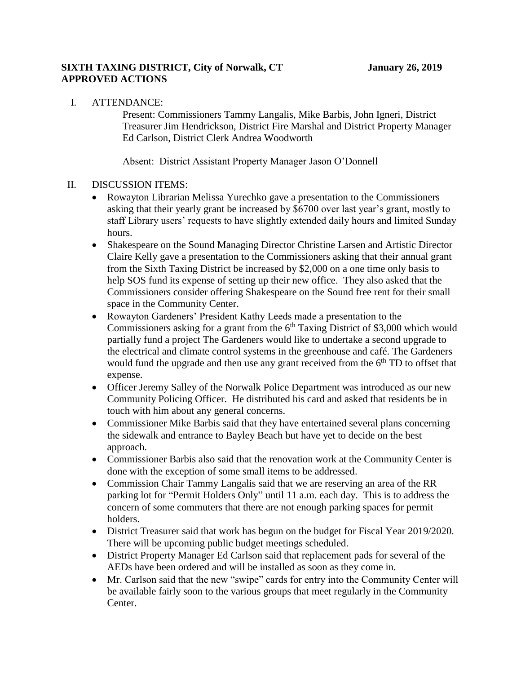## **SIXTH TAXING DISTRICT, City of Norwalk, CT January 26, 2019 APPROVED ACTIONS**

I. ATTENDANCE:

Present: Commissioners Tammy Langalis, Mike Barbis, John Igneri, District Treasurer Jim Hendrickson, District Fire Marshal and District Property Manager Ed Carlson, District Clerk Andrea Woodworth

Absent: District Assistant Property Manager Jason O'Donnell

## II. DISCUSSION ITEMS:

- Rowayton Librarian Melissa Yurechko gave a presentation to the Commissioners asking that their yearly grant be increased by \$6700 over last year's grant, mostly to staff Library users' requests to have slightly extended daily hours and limited Sunday hours.
- Shakespeare on the Sound Managing Director Christine Larsen and Artistic Director Claire Kelly gave a presentation to the Commissioners asking that their annual grant from the Sixth Taxing District be increased by \$2,000 on a one time only basis to help SOS fund its expense of setting up their new office. They also asked that the Commissioners consider offering Shakespeare on the Sound free rent for their small space in the Community Center.
- Rowayton Gardeners' President Kathy Leeds made a presentation to the Commissioners asking for a grant from the  $6<sup>th</sup>$  Taxing District of \$3,000 which would partially fund a project The Gardeners would like to undertake a second upgrade to the electrical and climate control systems in the greenhouse and café. The Gardeners would fund the upgrade and then use any grant received from the  $6<sup>th</sup> TD$  to offset that expense.
- Officer Jeremy Salley of the Norwalk Police Department was introduced as our new Community Policing Officer. He distributed his card and asked that residents be in touch with him about any general concerns.
- Commissioner Mike Barbis said that they have entertained several plans concerning the sidewalk and entrance to Bayley Beach but have yet to decide on the best approach.
- Commissioner Barbis also said that the renovation work at the Community Center is done with the exception of some small items to be addressed.
- Commission Chair Tammy Langalis said that we are reserving an area of the RR parking lot for "Permit Holders Only" until 11 a.m. each day. This is to address the concern of some commuters that there are not enough parking spaces for permit holders.
- District Treasurer said that work has begun on the budget for Fiscal Year 2019/2020. There will be upcoming public budget meetings scheduled.
- District Property Manager Ed Carlson said that replacement pads for several of the AEDs have been ordered and will be installed as soon as they come in.
- Mr. Carlson said that the new "swipe" cards for entry into the Community Center will be available fairly soon to the various groups that meet regularly in the Community Center.